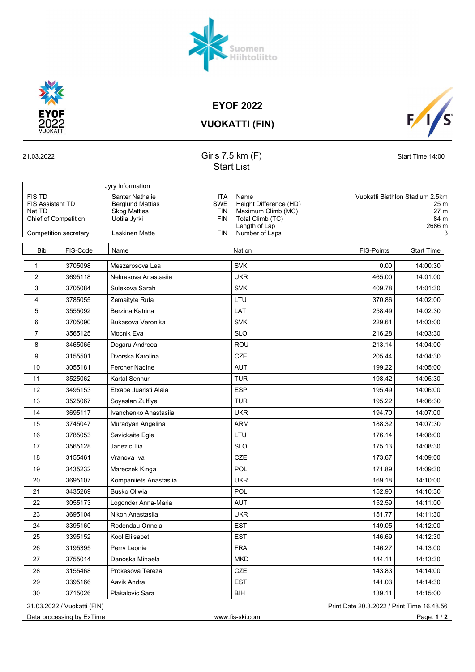

EYOF 2022

 $\overline{\mathsf{s}}$  $F/I$ 

VUOKATTI (FIN)

## 21.03.2022 Girls 7.5 km (F) Start Time 14:00 Start List

|                                                                                                            |          | Jyry Information                                                                                                                                                   |                                                                                                             |                                                                        |                   |  |  |  |
|------------------------------------------------------------------------------------------------------------|----------|--------------------------------------------------------------------------------------------------------------------------------------------------------------------|-------------------------------------------------------------------------------------------------------------|------------------------------------------------------------------------|-------------------|--|--|--|
| <b>FIS TD</b><br><b>FIS Assistant TD</b><br>Nat TD<br><b>Chief of Competition</b><br>Competition secretary |          | Santer Nathalie<br><b>ITA</b><br><b>SWE</b><br><b>Berglund Mattias</b><br><b>Skog Mattias</b><br>FIN<br>Uotila Jyrki<br><b>FIN</b><br><b>Leskinen Mette</b><br>FIN | Name<br>Height Difference (HD)<br>Maximum Climb (MC)<br>Total Climb (TC)<br>Length of Lap<br>Number of Laps | Vuokatti Biathlon Stadium 2.5km<br>25 m<br>27 m<br>84 m<br>2686 m<br>3 |                   |  |  |  |
|                                                                                                            |          |                                                                                                                                                                    |                                                                                                             |                                                                        |                   |  |  |  |
| <b>Bib</b>                                                                                                 | FIS-Code | Name                                                                                                                                                               | Nation                                                                                                      | <b>FIS-Points</b>                                                      | <b>Start Time</b> |  |  |  |
| 1                                                                                                          | 3705098  | Meszarosova Lea                                                                                                                                                    | <b>SVK</b>                                                                                                  | 0.00                                                                   | 14:00:30          |  |  |  |
| 2                                                                                                          | 3695118  | Nekrasova Anastasija                                                                                                                                               | <b>UKR</b>                                                                                                  | 465.00                                                                 | 14:01:00          |  |  |  |
| 3                                                                                                          | 3705084  | Sulekova Sarah                                                                                                                                                     | <b>SVK</b>                                                                                                  | 409.78                                                                 | 14:01:30          |  |  |  |
| 4                                                                                                          | 3785055  | Zemaityte Ruta                                                                                                                                                     | LTU                                                                                                         | 370.86                                                                 | 14:02:00          |  |  |  |
| 5                                                                                                          | 3555092  | Berzina Katrina                                                                                                                                                    | LAT                                                                                                         | 258.49                                                                 | 14:02:30          |  |  |  |
| 6                                                                                                          | 3705090  | Bukasova Veronika                                                                                                                                                  | <b>SVK</b>                                                                                                  | 229.61                                                                 | 14:03:00          |  |  |  |
| 7                                                                                                          | 3565125  | Mocnik Eva                                                                                                                                                         | <b>SLO</b>                                                                                                  | 216.28                                                                 | 14:03:30          |  |  |  |
| 8                                                                                                          | 3465065  | Dogaru Andreea                                                                                                                                                     | ROU                                                                                                         | 213.14                                                                 | 14:04:00          |  |  |  |
| 9                                                                                                          | 3155501  | Dvorska Karolina                                                                                                                                                   | CZE                                                                                                         | 205.44                                                                 | 14:04:30          |  |  |  |
| 10                                                                                                         | 3055181  | <b>Fercher Nadine</b>                                                                                                                                              | <b>AUT</b>                                                                                                  | 199.22                                                                 | 14:05:00          |  |  |  |
| 11                                                                                                         | 3525062  | <b>Kartal Sennur</b>                                                                                                                                               | <b>TUR</b>                                                                                                  | 198.42                                                                 | 14:05:30          |  |  |  |
| 12                                                                                                         | 3495153  | Etxabe Juaristi Alaia                                                                                                                                              | <b>ESP</b>                                                                                                  | 195.49                                                                 | 14:06:00          |  |  |  |
| 13                                                                                                         | 3525067  | Soyaslan Zulfiye                                                                                                                                                   | <b>TUR</b>                                                                                                  | 195.22                                                                 | 14:06:30          |  |  |  |
| 14                                                                                                         | 3695117  | Ivanchenko Anastasiia                                                                                                                                              | <b>UKR</b>                                                                                                  | 194.70                                                                 | 14:07:00          |  |  |  |
| 15                                                                                                         | 3745047  | Muradyan Angelina                                                                                                                                                  | <b>ARM</b>                                                                                                  | 188.32                                                                 | 14:07:30          |  |  |  |
| 16                                                                                                         | 3785053  | Savickaite Egle                                                                                                                                                    | LTU                                                                                                         | 176.14                                                                 | 14:08:00          |  |  |  |
| 17                                                                                                         | 3565128  | Janezic Tia                                                                                                                                                        | <b>SLO</b>                                                                                                  | 175.13                                                                 | 14:08:30          |  |  |  |
| 18                                                                                                         | 3155461  | Vranova Iva                                                                                                                                                        | CZE                                                                                                         | 173.67                                                                 | 14:09:00          |  |  |  |
| 19                                                                                                         | 3435232  | Mareczek Kinga                                                                                                                                                     | POL                                                                                                         | 171.89                                                                 | 14:09:30          |  |  |  |
| 20                                                                                                         | 3695107  | Kompaniiets Anastasiia                                                                                                                                             | <b>UKR</b>                                                                                                  | 169.18                                                                 | 14:10:00          |  |  |  |
| 21                                                                                                         | 3435269  | <b>Busko Oliwia</b>                                                                                                                                                | POL                                                                                                         | 152.90                                                                 | 14:10:30          |  |  |  |
| 22                                                                                                         | 3055173  | Logonder Anna-Maria                                                                                                                                                | <b>AUT</b>                                                                                                  | 152.59                                                                 | 14:11:00          |  |  |  |
| 23                                                                                                         | 3695104  | Nikon Anastasija                                                                                                                                                   | <b>UKR</b>                                                                                                  | 151.77                                                                 | 14:11:30          |  |  |  |
| 24                                                                                                         | 3395160  | Rodendau Onnela                                                                                                                                                    | <b>EST</b>                                                                                                  | 149.05                                                                 | 14:12:00          |  |  |  |
| 25                                                                                                         | 3395152  | Kool Eliisabet                                                                                                                                                     | <b>EST</b>                                                                                                  | 146.69                                                                 | 14:12:30          |  |  |  |
| 26                                                                                                         | 3195395  | Perry Leonie                                                                                                                                                       | <b>FRA</b>                                                                                                  | 146.27                                                                 | 14:13:00          |  |  |  |
| 27                                                                                                         | 3755014  | Danoska Mihaela                                                                                                                                                    | <b>MKD</b>                                                                                                  | 144.11                                                                 | 14:13:30          |  |  |  |
| 28                                                                                                         | 3155468  | Prokesova Tereza                                                                                                                                                   | CZE                                                                                                         | 143.83                                                                 | 14:14:00          |  |  |  |
| 29                                                                                                         | 3395166  | Aavik Andra                                                                                                                                                        | <b>EST</b>                                                                                                  | 141.03                                                                 | 14:14:30          |  |  |  |
| 30                                                                                                         | 3715026  | Plakalovic Sara                                                                                                                                                    | BIH                                                                                                         | 139.11                                                                 | 14:15:00          |  |  |  |
| 21.03.2022 / Vuokatti (FIN)<br>Print Date 20.3.2022 / Print Time 16.48.56                                  |          |                                                                                                                                                                    |                                                                                                             |                                                                        |                   |  |  |  |
| www.fis-ski.com<br>Page: 1 / 2<br>Data processing by ExTime                                                |          |                                                                                                                                                                    |                                                                                                             |                                                                        |                   |  |  |  |